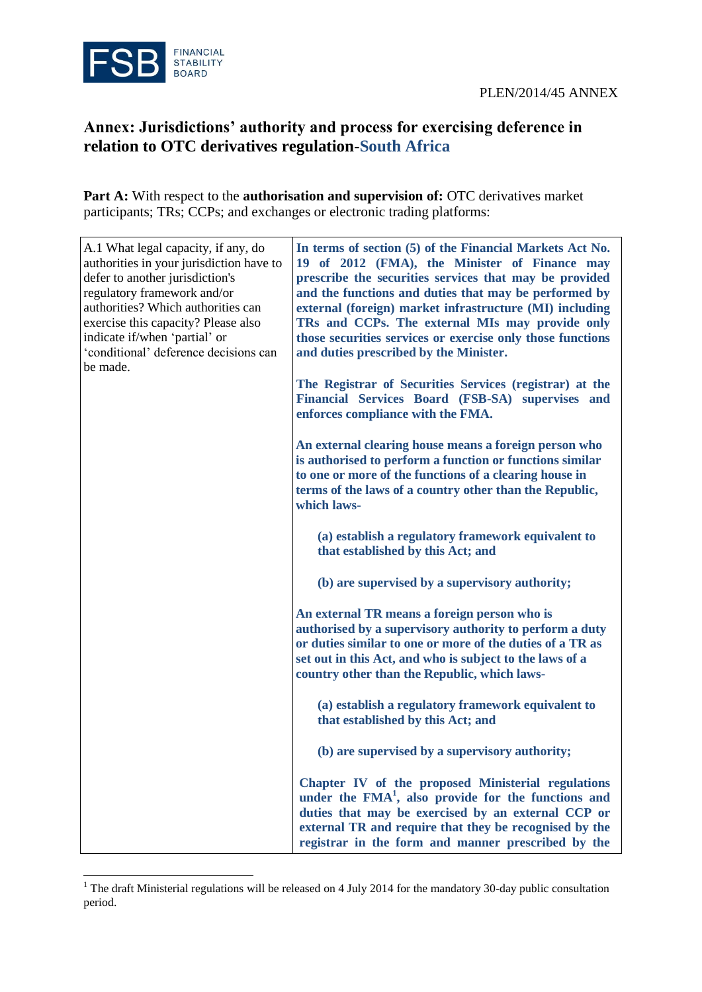$\overline{a}$ 

## **Annex: Jurisdictions' authority and process for exercising deference in relation to OTC derivatives regulation-South Africa**

Part A: With respect to the **authorisation and supervision of:** OTC derivatives market participants; TRs; CCPs; and exchanges or electronic trading platforms:

| A.1 What legal capacity, if any, do<br>authorities in your jurisdiction have to<br>defer to another jurisdiction's<br>regulatory framework and/or<br>authorities? Which authorities can<br>exercise this capacity? Please also<br>indicate if/when 'partial' or<br>'conditional' deference decisions can<br>be made. | In terms of section (5) of the Financial Markets Act No.<br>19 of 2012 (FMA), the Minister of Finance may<br>prescribe the securities services that may be provided<br>and the functions and duties that may be performed by<br>external (foreign) market infrastructure (MI) including<br>TRs and CCPs. The external MIs may provide only<br>those securities services or exercise only those functions<br>and duties prescribed by the Minister. |
|----------------------------------------------------------------------------------------------------------------------------------------------------------------------------------------------------------------------------------------------------------------------------------------------------------------------|----------------------------------------------------------------------------------------------------------------------------------------------------------------------------------------------------------------------------------------------------------------------------------------------------------------------------------------------------------------------------------------------------------------------------------------------------|
|                                                                                                                                                                                                                                                                                                                      | The Registrar of Securities Services (registrar) at the<br>Financial Services Board (FSB-SA) supervises and<br>enforces compliance with the FMA.                                                                                                                                                                                                                                                                                                   |
|                                                                                                                                                                                                                                                                                                                      | An external clearing house means a foreign person who<br>is authorised to perform a function or functions similar<br>to one or more of the functions of a clearing house in<br>terms of the laws of a country other than the Republic,<br>which laws-                                                                                                                                                                                              |
|                                                                                                                                                                                                                                                                                                                      | (a) establish a regulatory framework equivalent to<br>that established by this Act; and                                                                                                                                                                                                                                                                                                                                                            |
|                                                                                                                                                                                                                                                                                                                      | (b) are supervised by a supervisory authority;                                                                                                                                                                                                                                                                                                                                                                                                     |
|                                                                                                                                                                                                                                                                                                                      | An external TR means a foreign person who is<br>authorised by a supervisory authority to perform a duty<br>or duties similar to one or more of the duties of a TR as<br>set out in this Act, and who is subject to the laws of a<br>country other than the Republic, which laws-                                                                                                                                                                   |
|                                                                                                                                                                                                                                                                                                                      | (a) establish a regulatory framework equivalent to<br>that established by this Act; and                                                                                                                                                                                                                                                                                                                                                            |
|                                                                                                                                                                                                                                                                                                                      | (b) are supervised by a supervisory authority;                                                                                                                                                                                                                                                                                                                                                                                                     |
|                                                                                                                                                                                                                                                                                                                      | Chapter IV of the proposed Ministerial regulations<br>under the $FMA1$ , also provide for the functions and<br>duties that may be exercised by an external CCP or<br>external TR and require that they be recognised by the<br>registrar in the form and manner prescribed by the                                                                                                                                                                  |

<sup>&</sup>lt;sup>1</sup> The draft Ministerial regulations will be released on 4 July 2014 for the mandatory 30-day public consultation period.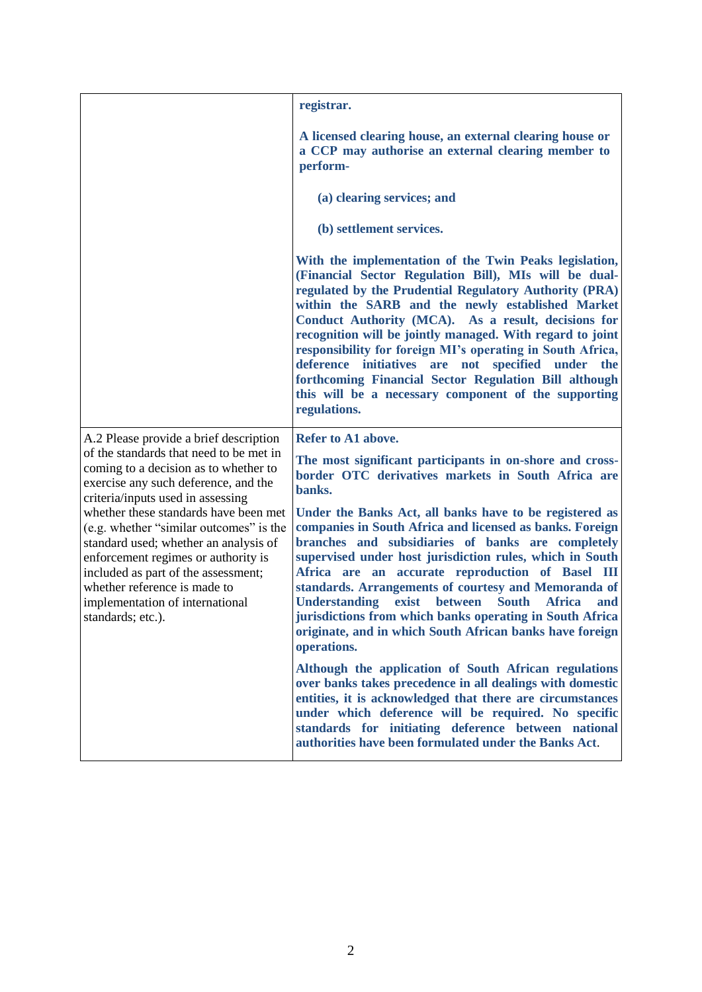|                                                                                                                                                                                                                                                                                                 | registrar.                                                                                                                                                                                                                                                                                                                                                                                                                                                                                                                                                                                            |
|-------------------------------------------------------------------------------------------------------------------------------------------------------------------------------------------------------------------------------------------------------------------------------------------------|-------------------------------------------------------------------------------------------------------------------------------------------------------------------------------------------------------------------------------------------------------------------------------------------------------------------------------------------------------------------------------------------------------------------------------------------------------------------------------------------------------------------------------------------------------------------------------------------------------|
|                                                                                                                                                                                                                                                                                                 | A licensed clearing house, an external clearing house or<br>a CCP may authorise an external clearing member to<br>perform-                                                                                                                                                                                                                                                                                                                                                                                                                                                                            |
|                                                                                                                                                                                                                                                                                                 | (a) clearing services; and                                                                                                                                                                                                                                                                                                                                                                                                                                                                                                                                                                            |
|                                                                                                                                                                                                                                                                                                 | (b) settlement services.                                                                                                                                                                                                                                                                                                                                                                                                                                                                                                                                                                              |
|                                                                                                                                                                                                                                                                                                 | With the implementation of the Twin Peaks legislation,<br>(Financial Sector Regulation Bill), MIs will be dual-<br>regulated by the Prudential Regulatory Authority (PRA)<br>within the SARB and the newly established Market<br>Conduct Authority (MCA). As a result, decisions for<br>recognition will be jointly managed. With regard to joint<br>responsibility for foreign MI's operating in South Africa,<br>deference initiatives are not specified under the<br>forthcoming Financial Sector Regulation Bill although<br>this will be a necessary component of the supporting<br>regulations. |
| A.2 Please provide a brief description                                                                                                                                                                                                                                                          | Refer to A1 above.                                                                                                                                                                                                                                                                                                                                                                                                                                                                                                                                                                                    |
| of the standards that need to be met in<br>coming to a decision as to whether to<br>exercise any such deference, and the<br>criteria/inputs used in assessing                                                                                                                                   | The most significant participants in on-shore and cross-<br>border OTC derivatives markets in South Africa are<br>banks.                                                                                                                                                                                                                                                                                                                                                                                                                                                                              |
| whether these standards have been met<br>(e.g. whether "similar outcomes" is the<br>standard used; whether an analysis of<br>enforcement regimes or authority is<br>included as part of the assessment;<br>whether reference is made to<br>implementation of international<br>standards; etc.). | Under the Banks Act, all banks have to be registered as<br>companies in South Africa and licensed as banks. Foreign<br>branches and subsidiaries of banks are completely<br>supervised under host jurisdiction rules, which in South<br>Africa are an accurate reproduction of Basel III<br>standards. Arrangements of courtesy and Memoranda of<br><b>South</b><br><b>Understanding</b><br>exist<br>between<br><b>Africa</b><br>and<br>jurisdictions from which banks operating in South Africa<br>originate, and in which South African banks have foreign<br>operations.                           |
|                                                                                                                                                                                                                                                                                                 | Although the application of South African regulations<br>over banks takes precedence in all dealings with domestic<br>entities, it is acknowledged that there are circumstances<br>under which deference will be required. No specific<br>standards for initiating deference between national<br>authorities have been formulated under the Banks Act.                                                                                                                                                                                                                                                |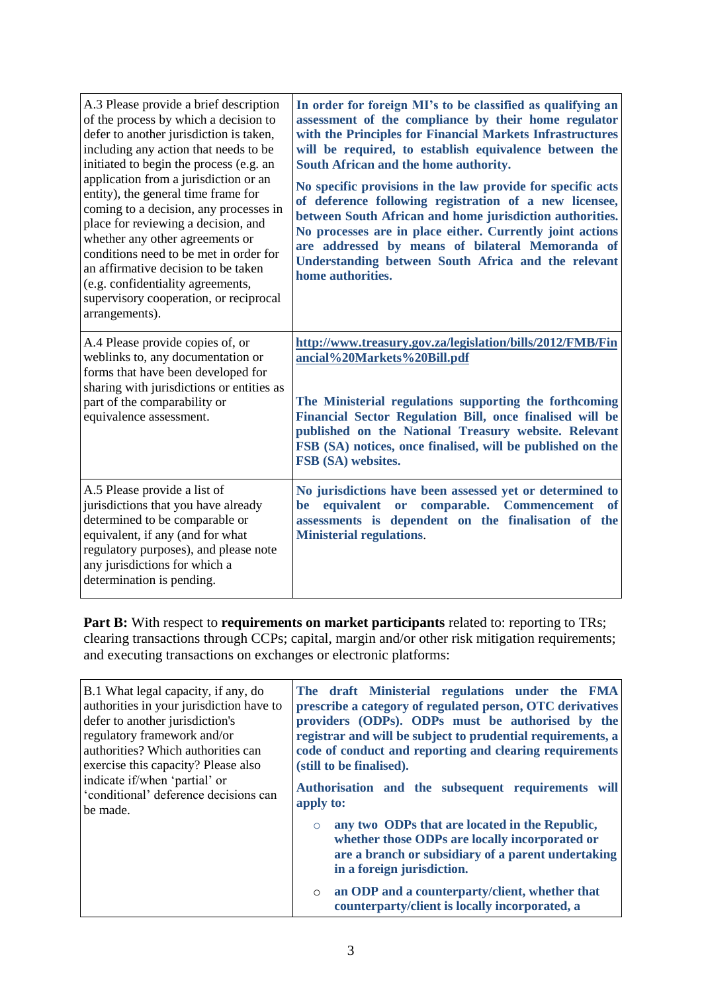| A.3 Please provide a brief description<br>of the process by which a decision to<br>defer to another jurisdiction is taken,<br>including any action that needs to be<br>initiated to begin the process (e.g. an<br>application from a jurisdiction or an<br>entity), the general time frame for<br>coming to a decision, any processes in<br>place for reviewing a decision, and<br>whether any other agreements or<br>conditions need to be met in order for<br>an affirmative decision to be taken<br>(e.g. confidentiality agreements,<br>supervisory cooperation, or reciprocal<br>arrangements). | In order for foreign MI's to be classified as qualifying an<br>assessment of the compliance by their home regulator<br>with the Principles for Financial Markets Infrastructures<br>will be required, to establish equivalence between the<br>South African and the home authority.<br>No specific provisions in the law provide for specific acts<br>of deference following registration of a new licensee,<br>between South African and home jurisdiction authorities.<br>No processes are in place either. Currently joint actions<br>are addressed by means of bilateral Memoranda of<br>Understanding between South Africa and the relevant<br>home authorities. |
|------------------------------------------------------------------------------------------------------------------------------------------------------------------------------------------------------------------------------------------------------------------------------------------------------------------------------------------------------------------------------------------------------------------------------------------------------------------------------------------------------------------------------------------------------------------------------------------------------|-----------------------------------------------------------------------------------------------------------------------------------------------------------------------------------------------------------------------------------------------------------------------------------------------------------------------------------------------------------------------------------------------------------------------------------------------------------------------------------------------------------------------------------------------------------------------------------------------------------------------------------------------------------------------|
| A.4 Please provide copies of, or<br>weblinks to, any documentation or<br>forms that have been developed for<br>sharing with jurisdictions or entities as<br>part of the comparability or<br>equivalence assessment.                                                                                                                                                                                                                                                                                                                                                                                  | http://www.treasury.gov.za/legislation/bills/2012/FMB/Fin<br>ancial%20Markets%20Bill.pdf<br>The Ministerial regulations supporting the forthcoming<br>Financial Sector Regulation Bill, once finalised will be<br>published on the National Treasury website. Relevant<br>FSB (SA) notices, once finalised, will be published on the<br>FSB (SA) websites.                                                                                                                                                                                                                                                                                                            |
| A.5 Please provide a list of<br>jurisdictions that you have already<br>determined to be comparable or<br>equivalent, if any (and for what<br>regulatory purposes), and please note<br>any jurisdictions for which a<br>determination is pending.                                                                                                                                                                                                                                                                                                                                                     | No jurisdictions have been assessed yet or determined to<br>equivalent or comparable. Commencement<br>be<br>of<br>assessments is dependent on the finalisation of the<br><b>Ministerial regulations.</b>                                                                                                                                                                                                                                                                                                                                                                                                                                                              |

**Part B:** With respect to **requirements on market participants** related to: reporting to TRs; clearing transactions through CCPs; capital, margin and/or other risk mitigation requirements; and executing transactions on exchanges or electronic platforms:

| B.1 What legal capacity, if any, do<br>authorities in your jurisdiction have to<br>defer to another jurisdiction's<br>regulatory framework and/or<br>authorities? Which authorities can<br>exercise this capacity? Please also<br>indicate if/when 'partial' or<br>'conditional' deference decisions can<br>the made. | The draft Ministerial regulations under the FMA<br>prescribe a category of regulated person, OTC derivatives<br>providers (ODPs). ODPs must be authorised by the<br>registrar and will be subject to prudential requirements, a<br>code of conduct and reporting and clearing requirements<br>(still to be finalised).<br>Authorisation and the subsequent requirements will<br>apply to: |
|-----------------------------------------------------------------------------------------------------------------------------------------------------------------------------------------------------------------------------------------------------------------------------------------------------------------------|-------------------------------------------------------------------------------------------------------------------------------------------------------------------------------------------------------------------------------------------------------------------------------------------------------------------------------------------------------------------------------------------|
|                                                                                                                                                                                                                                                                                                                       | any two ODPs that are located in the Republic,<br>$\circ$<br>whether those ODPs are locally incorporated or<br>are a branch or subsidiary of a parent undertaking<br>in a foreign jurisdiction.<br>an ODP and a counterparty/client, whether that<br>$\circ$<br>counterparty/client is locally incorporated, a                                                                            |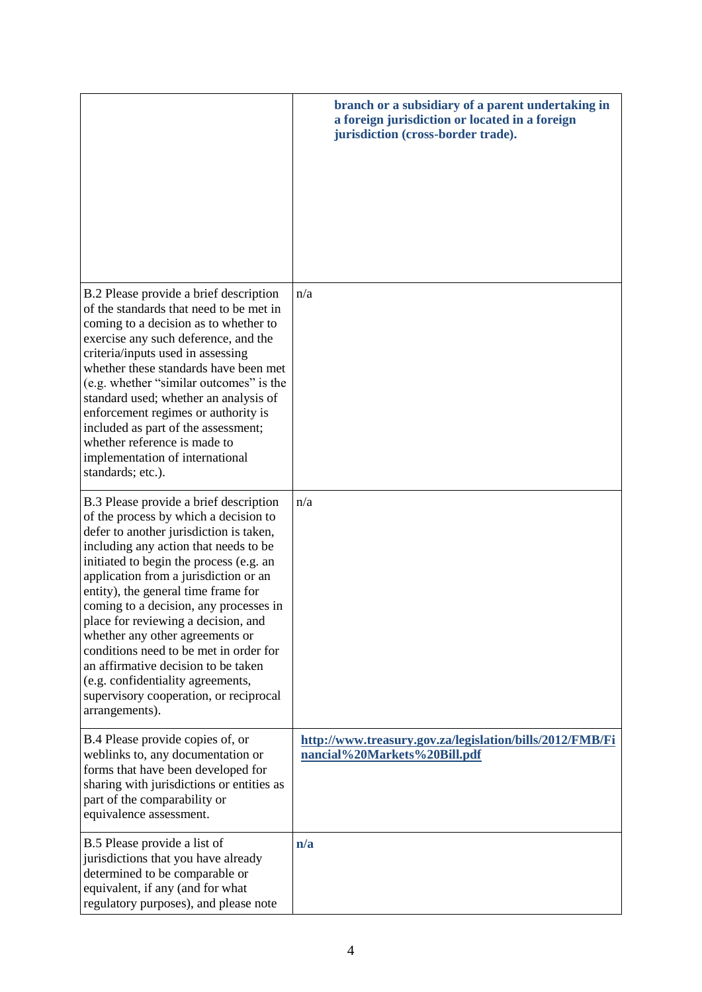|                                                                                                                                                                                                                                                                                                                                                                                                                                                                                                                                                                                                      | branch or a subsidiary of a parent undertaking in<br>a foreign jurisdiction or located in a foreign<br>jurisdiction (cross-border trade). |
|------------------------------------------------------------------------------------------------------------------------------------------------------------------------------------------------------------------------------------------------------------------------------------------------------------------------------------------------------------------------------------------------------------------------------------------------------------------------------------------------------------------------------------------------------------------------------------------------------|-------------------------------------------------------------------------------------------------------------------------------------------|
| B.2 Please provide a brief description<br>of the standards that need to be met in<br>coming to a decision as to whether to<br>exercise any such deference, and the<br>criteria/inputs used in assessing<br>whether these standards have been met<br>(e.g. whether "similar outcomes" is the<br>standard used; whether an analysis of<br>enforcement regimes or authority is<br>included as part of the assessment;<br>whether reference is made to<br>implementation of international<br>standards; etc.).                                                                                           | n/a                                                                                                                                       |
| B.3 Please provide a brief description<br>of the process by which a decision to<br>defer to another jurisdiction is taken,<br>including any action that needs to be<br>initiated to begin the process (e.g. an<br>application from a jurisdiction or an<br>entity), the general time frame for<br>coming to a decision, any processes in<br>place for reviewing a decision, and<br>whether any other agreements or<br>conditions need to be met in order for<br>an affirmative decision to be taken<br>(e.g. confidentiality agreements,<br>supervisory cooperation, or reciprocal<br>arrangements). | n/a                                                                                                                                       |
| B.4 Please provide copies of, or<br>weblinks to, any documentation or<br>forms that have been developed for<br>sharing with jurisdictions or entities as<br>part of the comparability or<br>equivalence assessment.                                                                                                                                                                                                                                                                                                                                                                                  | http://www.treasury.gov.za/legislation/bills/2012/FMB/Fi<br>nancial%20Markets%20Bill.pdf                                                  |
| B.5 Please provide a list of<br>jurisdictions that you have already<br>determined to be comparable or<br>equivalent, if any (and for what<br>regulatory purposes), and please note                                                                                                                                                                                                                                                                                                                                                                                                                   | n/a                                                                                                                                       |